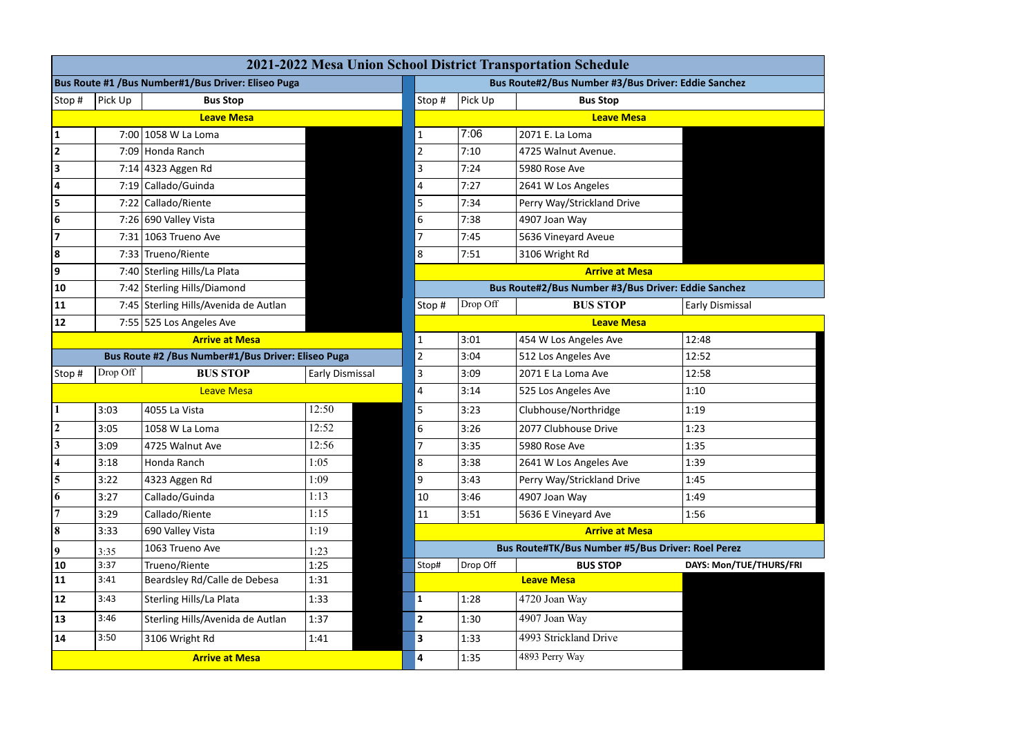| 2021-2022 Mesa Union School District Transportation Schedule |                                                      |                                       |                 |  |                         |                                                     |                                                   |                         |  |
|--------------------------------------------------------------|------------------------------------------------------|---------------------------------------|-----------------|--|-------------------------|-----------------------------------------------------|---------------------------------------------------|-------------------------|--|
| Bus Route #1 / Bus Number#1/ Bus Driver: Eliseo Puga         |                                                      |                                       |                 |  |                         | Bus Route#2/Bus Number #3/Bus Driver: Eddie Sanchez |                                                   |                         |  |
| Stop #                                                       | Pick Up                                              | <b>Bus Stop</b>                       |                 |  | Stop#                   | Pick Up                                             | <b>Bus Stop</b>                                   |                         |  |
|                                                              |                                                      | <b>Leave Mesa</b>                     |                 |  |                         |                                                     | <b>Leave Mesa</b>                                 |                         |  |
| 1                                                            |                                                      | 7:00 1058 W La Loma                   |                 |  | $\mathbf{1}$            | 7:06                                                | 2071 E. La Loma                                   |                         |  |
| $\mathbf{2}$                                                 |                                                      | 7:09 Honda Ranch                      |                 |  | $\overline{2}$          | 7:10                                                | 4725 Walnut Avenue.                               |                         |  |
| 3                                                            |                                                      | 7:14 4323 Aggen Rd                    |                 |  | $\overline{3}$          | 7:24                                                | 5980 Rose Ave                                     |                         |  |
| 4                                                            |                                                      | 7:19 Callado/Guinda                   |                 |  | $\overline{\mathbf{4}}$ | 7:27                                                | 2641 W Los Angeles                                |                         |  |
| 5                                                            |                                                      | 7:22 Callado/Riente                   |                 |  | 5                       | 7:34                                                | Perry Way/Strickland Drive                        |                         |  |
| 6                                                            |                                                      | 7:26 690 Valley Vista                 |                 |  | $\boldsymbol{6}$        | 7:38                                                | 4907 Joan Way                                     |                         |  |
| $\overline{7}$                                               |                                                      | 7:31 1063 Trueno Ave                  |                 |  | $\overline{7}$          | 7:45                                                | 5636 Vineyard Aveue                               |                         |  |
| 8                                                            |                                                      | 7:33 Trueno/Riente                    |                 |  | 8                       | 7:51                                                | 3106 Wright Rd                                    |                         |  |
| 9                                                            |                                                      | 7:40 Sterling Hills/La Plata          |                 |  |                         |                                                     | <b>Arrive at Mesa</b>                             |                         |  |
| 10                                                           |                                                      | 7:42 Sterling Hills/Diamond           |                 |  |                         | Bus Route#2/Bus Number #3/Bus Driver: Eddie Sanchez |                                                   |                         |  |
| 11                                                           |                                                      | 7:45 Sterling Hills/Avenida de Autlan |                 |  | Stop#                   | Drop Off                                            | <b>BUS STOP</b>                                   | Early Dismissal         |  |
| 12                                                           |                                                      | 7:55 525 Los Angeles Ave              |                 |  |                         |                                                     | <b>Leave Mesa</b>                                 |                         |  |
| <b>Arrive at Mesa</b>                                        |                                                      |                                       |                 |  | $\mathbf{1}$            | 3:01                                                | 454 W Los Angeles Ave                             | 12:48                   |  |
|                                                              | Bus Route #2 / Bus Number#1/ Bus Driver: Eliseo Puga |                                       |                 |  |                         | 3:04                                                | 512 Los Angeles Ave                               | 12:52                   |  |
| Stop #                                                       | Drop Off                                             | <b>BUS STOP</b>                       | Early Dismissal |  | 3                       | 3:09                                                | 2071 E La Loma Ave                                | 12:58                   |  |
| Leave Mesa                                                   |                                                      |                                       |                 |  | 4                       | 3:14                                                | 525 Los Angeles Ave                               | 1:10                    |  |
|                                                              | 3:03                                                 | 4055 La Vista                         | 12:50           |  | 5                       | 3:23                                                | Clubhouse/Northridge                              | 1:19                    |  |
| $\boldsymbol{2}$                                             | 3:05                                                 | 1058 W La Loma                        | 12:52           |  | $\boldsymbol{6}$        | 3:26                                                | 2077 Clubhouse Drive                              | 1:23                    |  |
| $\mathbf{3}$                                                 | 3:09                                                 | 4725 Walnut Ave                       | 12:56           |  | $\overline{7}$          | 3:35                                                | 5980 Rose Ave                                     | 1:35                    |  |
| 4                                                            | 3:18                                                 | Honda Ranch                           | 1:05            |  | $\,8\,$                 | 3:38                                                | 2641 W Los Angeles Ave                            | 1:39                    |  |
| 5                                                            | 3:22                                                 | 4323 Aggen Rd                         | 1:09            |  | 9                       | 3:43                                                | Perry Way/Strickland Drive                        | 1:45                    |  |
| 6                                                            | 3:27                                                 | Callado/Guinda                        | 1:13            |  | 10                      | 3:46                                                | 4907 Joan Way                                     | 1:49                    |  |
| $\overline{7}$                                               | 3:29                                                 | Callado/Riente                        | 1:15            |  | 11                      | 3:51                                                | 5636 E Vineyard Ave                               | 1:56                    |  |
| $\bf{8}$                                                     | 3:33                                                 | 690 Valley Vista                      | 1:19            |  |                         |                                                     | <b>Arrive at Mesa</b>                             |                         |  |
| $\overline{\mathbf{9}}$                                      | 3:35                                                 | 1063 Trueno Ave                       | 1:23            |  |                         |                                                     | Bus Route#TK/Bus Number #5/Bus Driver: Roel Perez |                         |  |
| 10                                                           | 3:37                                                 | Trueno/Riente                         | 1:25            |  | Stop#                   | Drop Off                                            | <b>BUS STOP</b>                                   | DAYS: Mon/TUE/THURS/FRI |  |
| 11                                                           | 3:41                                                 | Beardsley Rd/Calle de Debesa          | 1:31            |  |                         | <b>Leave Mesa</b>                                   |                                                   |                         |  |
| 12                                                           | 3:43                                                 | Sterling Hills/La Plata               | 1:33            |  | 1                       | 1:28                                                | 4720 Joan Way                                     |                         |  |
| 13                                                           | 3:46                                                 | Sterling Hills/Avenida de Autlan      | 1:37            |  | $ 2\rangle$             | 1:30                                                | 4907 Joan Way                                     |                         |  |
| 14                                                           | 3:50                                                 | 3106 Wright Rd                        | 1:41            |  | $\mathbf{3}$            | 1:33                                                | 4993 Strickland Drive                             |                         |  |
| <b>Arrive at Mesa</b>                                        |                                                      |                                       |                 |  |                         | 1:35                                                | 4893 Perry Way                                    |                         |  |